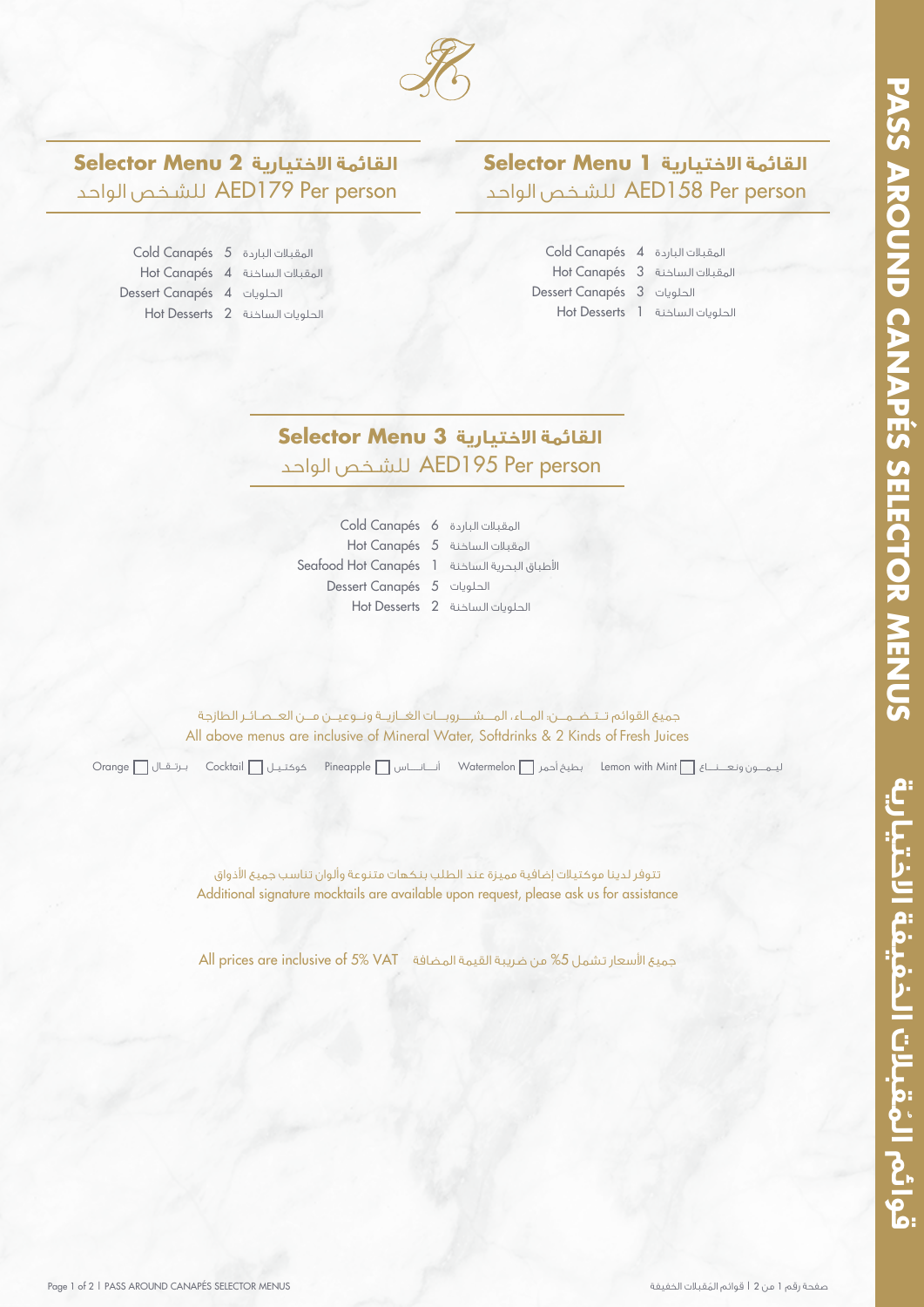**الاختيارية الخفيفة قبلات**

قوائم المُقبلات الخفيفة الاختيارية



## **القائمة الاختيارية 2 Menu Selector** الواحد للشـخص AED179 Per person

 Cold Canapés المقبلات الباردة Hot Canapés المقبلات الساخنة Dessert Canapés الحلويات Hot Desserts الحلويات الساخنة

## **القائمة الاختيارية 1 Menu Selector**

الواحد للشـخص AED158 Per person

| Cold Canapés 4 المقبلات الباردة 4 |                                   |
|-----------------------------------|-----------------------------------|
|                                   | Hot Canapés 3 المقبلات الساخنة    |
| Dessert Canapés 3 الحلويات 3      |                                   |
|                                   | Hot Desserts 1 الحلويات الساخنة 1 |

## **القائمة الاختيارية 3 Menu Selector** الواحد للشـخص AED195 Per person

 Cold Canapés المقبلات الباردة Hot Canapés المقبلات الساخنة Seafood Hot Canapés ا طباق البحرية الساخنة Dessert Canapés الحلويات Hot Desserts الحلويات الساخنة

All above menus are inclusive of Mineral Water, Softdrinks & 2 Kinds of Fresh Juices جميع القوائم تـتــضــمـــن: المــاء، المـــشــــروبــات الغــازيــة ونــوعيــن مـــن العــصـائـر الطازجة

ليـــمــــــون ونـعــــــنــــــاع Mint with Lemon بطيخ أحمر Watermelon أنـــــــانــــــــاس Pineapple كوكتــيــل Cocktail بــرتـــقـــال Orange

Additional signature mocktails are available upon request, please ask us for assistance تتوفر لدينا موكتيلات إضافية مميزة عند الطلب بنكهات متنوعة وألوان تناسب جميع الأذواق

جميع الأسعار تشمل 5% من ضريبة القيمة المضافة VAT ×5% VAT ces are inclusive of 5% VAT